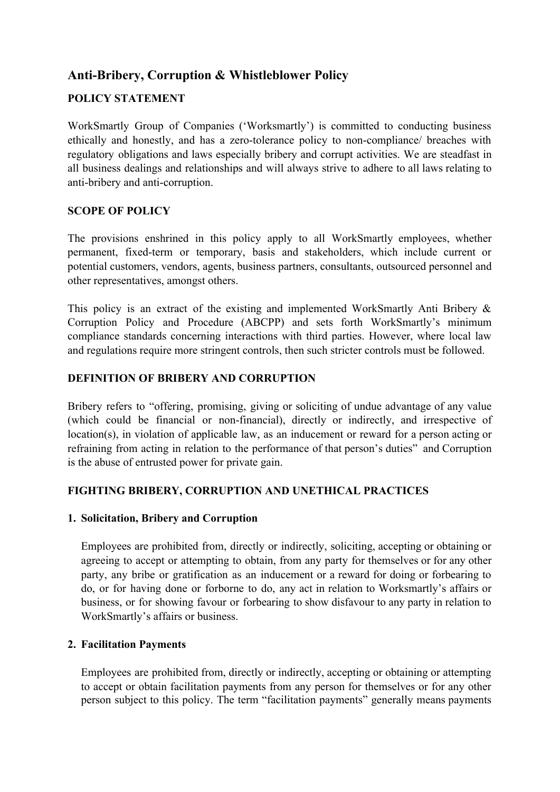# **Anti-Bribery, Corruption & Whistleblower Policy**

## **POLICY STATEMENT**

WorkSmartly Group of Companies ('Worksmartly') is committed to conducting business ethically and honestly, and has a zero-tolerance policy to non-compliance/ breaches with regulatory obligations and laws especially bribery and corrupt activities. We are steadfast in all business dealings and relationships and will always strive to adhere to all laws relating to anti-bribery and anti-corruption.

### **SCOPE OF POLICY**

The provisions enshrined in this policy apply to all WorkSmartly employees, whether permanent, fixed-term or temporary, basis and stakeholders, which include current or potential customers, vendors, agents, business partners, consultants, outsourced personnel and other representatives, amongst others.

This policy is an extract of the existing and implemented WorkSmartly Anti Bribery & Corruption Policy and Procedure (ABCPP) and sets forth WorkSmartly's minimum compliance standards concerning interactions with third parties. However, where local law and regulations require more stringent controls, then such stricter controls must be followed.

#### **DEFINITION OF BRIBERY AND CORRUPTION**

Bribery refers to "offering, promising, giving or soliciting of undue advantage of any value (which could be financial or non-financial), directly or indirectly, and irrespective of location(s), in violation of applicable law, as an inducement or reward for a person acting or refraining from acting in relation to the performance of that person's duties" and Corruption is the abuse of entrusted power for private gain.

# **FIGHTING BRIBERY, CORRUPTION AND UNETHICAL PRACTICES**

#### **1. Solicitation, Bribery and Corruption**

Employees are prohibited from, directly or indirectly, soliciting, accepting or obtaining or agreeing to accept or attempting to obtain, from any party for themselves or for any other party, any bribe or gratification as an inducement or a reward for doing or forbearing to do, or for having done or forborne to do, any act in relation to Worksmartly's affairs or business, or for showing favour or forbearing to show disfavour to any party in relation to WorkSmartly's affairs or business.

# **2. Facilitation Payments**

Employees are prohibited from, directly or indirectly, accepting or obtaining or attempting to accept or obtain facilitation payments from any person for themselves or for any other person subject to this policy. The term "facilitation payments" generally means payments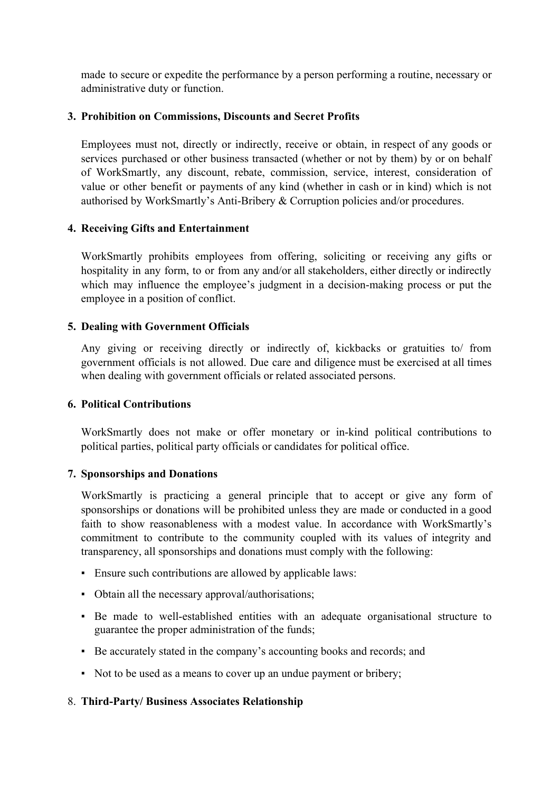made to secure or expedite the performance by a person performing a routine, necessary or administrative duty or function.

#### **3. Prohibition on Commissions, Discounts and Secret Profits**

Employees must not, directly or indirectly, receive or obtain, in respect of any goods or services purchased or other business transacted (whether or not by them) by or on behalf of WorkSmartly, any discount, rebate, commission, service, interest, consideration of value or other benefit or payments of any kind (whether in cash or in kind) which is not authorised by WorkSmartly's Anti-Bribery & Corruption policies and/or procedures.

### **4. Receiving Gifts and Entertainment**

WorkSmartly prohibits employees from offering, soliciting or receiving any gifts or hospitality in any form, to or from any and/or all stakeholders, either directly or indirectly which may influence the employee's judgment in a decision-making process or put the employee in a position of conflict.

### **5. Dealing with Government Officials**

Any giving or receiving directly or indirectly of, kickbacks or gratuities to/ from government officials is not allowed. Due care and diligence must be exercised at all times when dealing with government officials or related associated persons.

#### **6. Political Contributions**

WorkSmartly does not make or offer monetary or in-kind political contributions to political parties, political party officials or candidates for political office.

#### **7. Sponsorships and Donations**

WorkSmartly is practicing a general principle that to accept or give any form of sponsorships or donations will be prohibited unless they are made or conducted in a good faith to show reasonableness with a modest value. In accordance with WorkSmartly's commitment to contribute to the community coupled with its values of integrity and transparency, all sponsorships and donations must comply with the following:

- Ensure such contributions are allowed by applicable laws:
- Obtain all the necessary approval/authorisations;
- Be made to well-established entities with an adequate organisational structure to guarantee the proper administration of the funds;
- Be accurately stated in the company's accounting books and records; and
- Not to be used as a means to cover up an undue payment or bribery;

# 8. **Third-Party/ Business Associates Relationship**